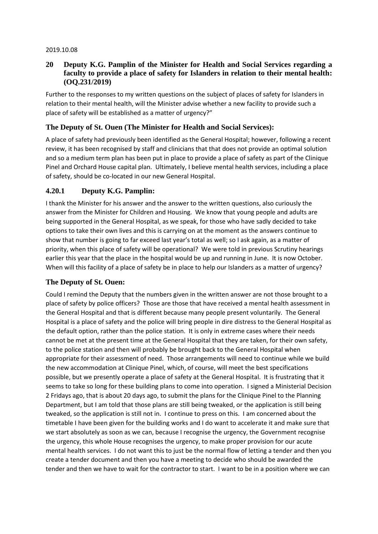#### 2019.10.08

#### **20 Deputy K.G. Pamplin of the Minister for Health and Social Services regarding a faculty to provide a place of safety for Islanders in relation to their mental health: (OQ.231/2019)**

Further to the responses to my written questions on the subject of places of safety for Islanders in relation to their mental health, will the Minister advise whether a new facility to provide such a place of safety will be established as a matter of urgency?"

## **The Deputy of St. Ouen (The Minister for Health and Social Services):**

A place of safety had previously been identified as the General Hospital; however, following a recent review, it has been recognised by staff and clinicians that that does not provide an optimal solution and so a medium term plan has been put in place to provide a place of safety as part of the Clinique Pinel and Orchard House capital plan. Ultimately, I believe mental health services, including a place of safety, should be co-located in our new General Hospital.

### **4.20.1 Deputy K.G. Pamplin:**

I thank the Minister for his answer and the answer to the written questions, also curiously the answer from the Minister for Children and Housing. We know that young people and adults are being supported in the General Hospital, as we speak, for those who have sadly decided to take options to take their own lives and this is carrying on at the moment as the answers continue to show that number is going to far exceed last year's total as well; so I ask again, as a matter of priority, when this place of safety will be operational? We were told in previous Scrutiny hearings earlier this year that the place in the hospital would be up and running in June. It is now October. When will this facility of a place of safety be in place to help our Islanders as a matter of urgency?

## **The Deputy of St. Ouen:**

Could I remind the Deputy that the numbers given in the written answer are not those brought to a place of safety by police officers? Those are those that have received a mental health assessment in the General Hospital and that is different because many people present voluntarily. The General Hospital is a place of safety and the police will bring people in dire distress to the General Hospital as the default option, rather than the police station. It is only in extreme cases where their needs cannot be met at the present time at the General Hospital that they are taken, for their own safety, to the police station and then will probably be brought back to the General Hospital when appropriate for their assessment of need. Those arrangements will need to continue while we build the new accommodation at Clinique Pinel, which, of course, will meet the best specifications possible, but we presently operate a place of safety at the General Hospital. It is frustrating that it seems to take so long for these building plans to come into operation. I signed a Ministerial Decision 2 Fridays ago, that is about 20 days ago, to submit the plans for the Clinique Pinel to the Planning Department, but I am told that those plans are still being tweaked, or the application is still being tweaked, so the application is still not in. I continue to press on this. I am concerned about the timetable I have been given for the building works and I do want to accelerate it and make sure that we start absolutely as soon as we can, because I recognise the urgency, the Government recognise the urgency, this whole House recognises the urgency, to make proper provision for our acute mental health services. I do not want this to just be the normal flow of letting a tender and then you create a tender document and then you have a meeting to decide who should be awarded the tender and then we have to wait for the contractor to start. I want to be in a position where we can